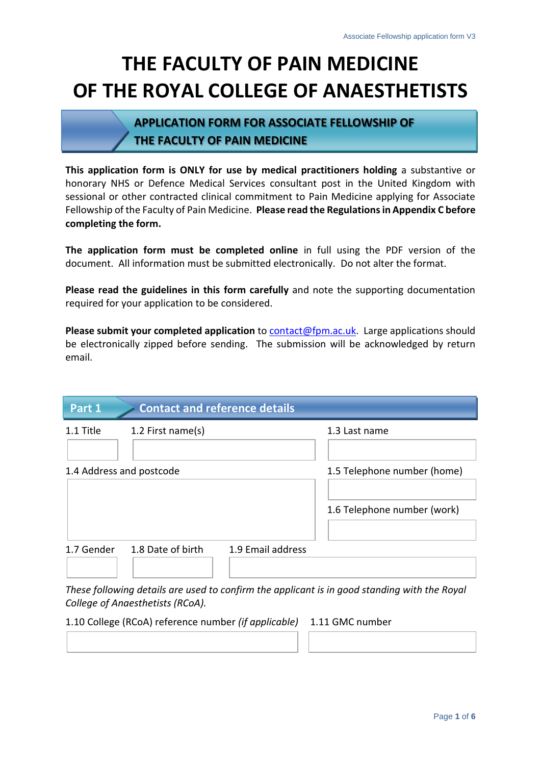# **THE FACULTY OF PAIN MEDICINE OF THE ROYAL COLLEGE OF ANAESTHETISTS**

# **APPLICATION FORM FOR ASSOCIATE FELLOWSHIP OF THE FACULTY OF PAIN MEDICINE**

**This application form is ONLY for use by medical practitioners holding** a substantive or honorary NHS or Defence Medical Services consultant post in the United Kingdom with sessional or other contracted clinical commitment to Pain Medicine applying for Associate Fellowship of the Faculty of Pain Medicine. **Please read the Regulations in Appendix C before completing the form.**

**The application form must be completed online** in full using the PDF version of the document. All information must be submitted electronically. Do not alter the format.

**Please read the guidelines in this form carefully** and note the supporting documentation required for your application to be considered.

**Please submit your completed application** to [contact@fpm.ac.uk.](mailto:contact@fpm.ac.uk) Large applications should be electronically zipped before sending. The submission will be acknowledged by return email.

| Part 1     | <b>Contact and reference details</b> |                   |                             |
|------------|--------------------------------------|-------------------|-----------------------------|
| 1.1 Title  | 1.2 First name(s)                    |                   | 1.3 Last name               |
|            | 1.4 Address and postcode             |                   | 1.5 Telephone number (home) |
|            |                                      |                   | 1.6 Telephone number (work) |
| 1.7 Gender | 1.8 Date of birth                    | 1.9 Email address |                             |

*These following details are used to confirm the applicant is in good standing with the Royal College of Anaesthetists (RCoA).*

1.10 College (RCoA) reference number *(if applicable)* 1.11 GMC number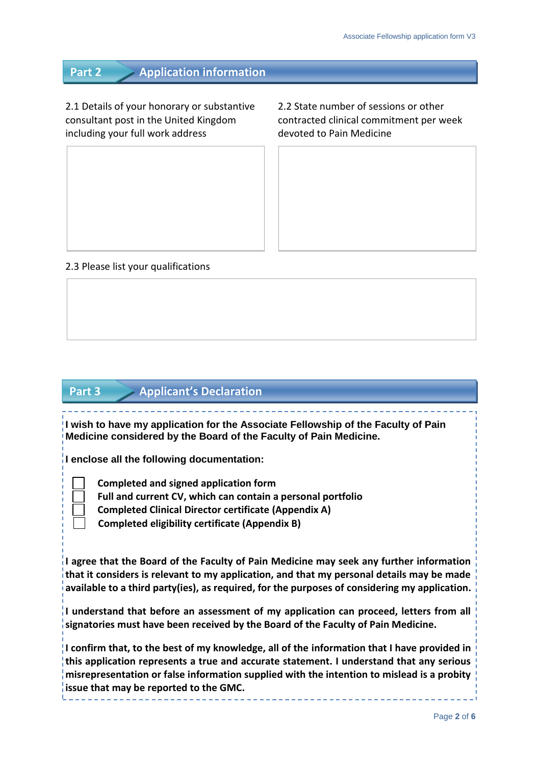**Part 2 Application information**

2.1 Details of your honorary or substantive 2.2 State number of sessions or other consultant post in the United Kingdom contracted clinical commitment per week including your full work address devoted to Pain Medicine

## 2.3 Please list your qualifications

## **Part 3 Applicant's Declaration**

**I wish to have my application for the Associate Fellowship of the Faculty of Pain Medicine considered by the Board of the Faculty of Pain Medicine.**

**I enclose all the following documentation:**

 **Completed and signed application form**

 **Full and current CV, which can contain a personal portfolio**

 **Completed Clinical Director certificate (Appendix A)**

 **Completed eligibility certificate (Appendix B)**

**I agree that the Board of the Faculty of Pain Medicine may seek any further information that it considers is relevant to my application, and that my personal details may be made available to a third party(ies), as required, for the purposes of considering my application.**

**I understand that before an assessment of my application can proceed, letters from all signatories must have been received by the Board of the Faculty of Pain Medicine.**

**I confirm that, to the best of my knowledge, all of the information that I have provided in this application represents a true and accurate statement. I understand that any serious misrepresentation or false information supplied with the intention to mislead is a probity issue that may be reported to the GMC.**

Page **2** of **6**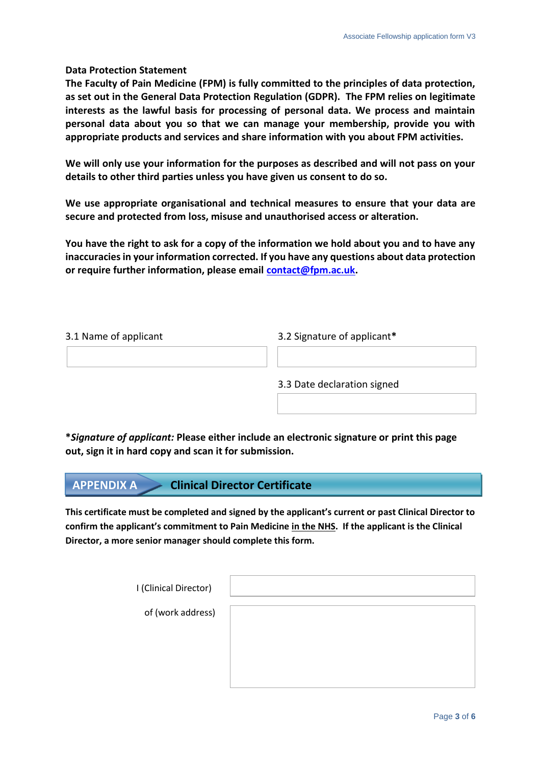## **Data Protection Statement**

**The Faculty of Pain Medicine (FPM) is fully committed to the principles of data protection, as set out in the General Data Protection Regulation (GDPR). The FPM relies on legitimate interests as the lawful basis for processing of personal data. We process and maintain personal data about you so that we can manage your membership, provide you with appropriate products and services and share information with you about FPM activities.**

**We will only use your information for the purposes as described and will not pass on your details to other third parties unless you have given us consent to do so.**

**We use appropriate organisational and technical measures to ensure that your data are secure and protected from loss, misuse and unauthorised access or alteration.**

**You have the right to ask for a copy of the information we hold about you and to have any inaccuracies in your information corrected. If you have any questions about data protection or require further information, please email [contact@fpm.ac.uk.](mailto:contact@fpm.ac.uk)**

#### 3.1 Name of applicant 3.2 Signature of applicant**\***

3.3 Date declaration signed

**\****Signature of applicant:* **Please either include an electronic signature or print this page out, sign it in hard copy and scan it for submission.**

## **APPENDIX A Clinical Director Certificate**

**This certificate must be completed and signed by the applicant's current or past Clinical Director to confirm the applicant's commitment to Pain Medicine in the NHS. If the applicant is the Clinical Director, a more senior manager should complete this form.** 

| I (Clinical Director) |  |
|-----------------------|--|
| of (work address)     |  |
|                       |  |
|                       |  |
|                       |  |
|                       |  |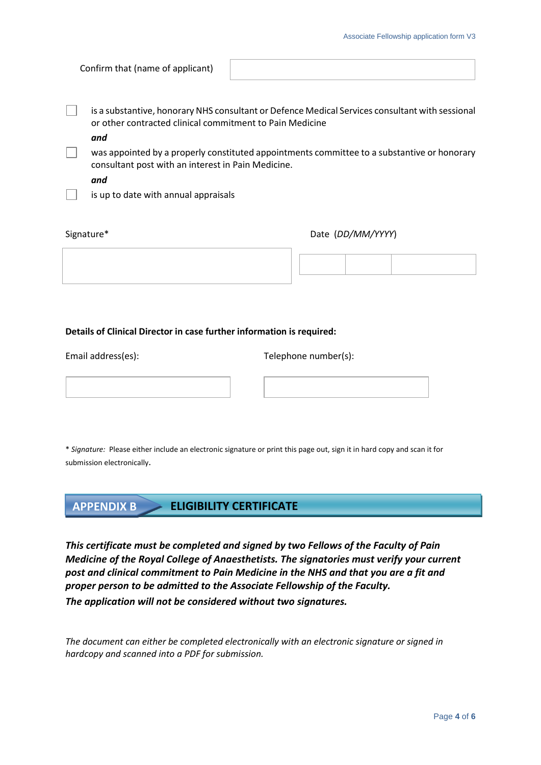| Confirm that (name of applicant) |  |  |  |  |  |
|----------------------------------|--|--|--|--|--|
|----------------------------------|--|--|--|--|--|

is a substantive, honorary NHS consultant or Defence Medical Services consultant with sessional or other contracted clinical commitment to Pain Medicine

*and*

was appointed by a properly constituted appointments committee to a substantive or honorary consultant post with an interest in Pain Medicine.

*and*

is up to date with annual appraisals

Signature\* Date (*DD/MM/YYYY*)

#### **Details of Clinical Director in case further information is required:**

Email address(es): Telephone number(s):

\* *Signature:* Please either include an electronic signature or print this page out, sign it in hard copy and scan it for submission electronically.

## **APPENDIX B ELIGIBILITY CERTIFICATE**

*This certificate must be completed and signed by two Fellows of the Faculty of Pain Medicine of the Royal College of Anaesthetists. The signatories must verify your current post and clinical commitment to Pain Medicine in the NHS and that you are a fit and proper person to be admitted to the Associate Fellowship of the Faculty. The application will not be considered without two signatures.*

*The document can either be completed electronically with an electronic signature or signed in hardcopy and scanned into a PDF for submission.*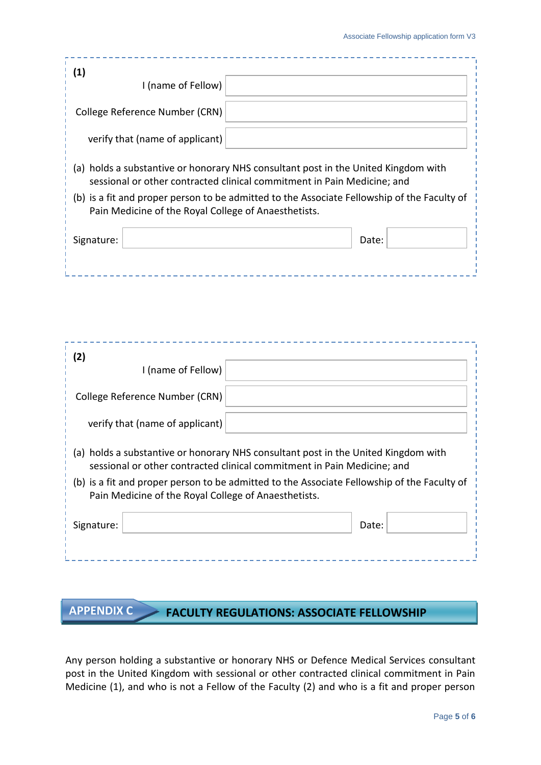| (1)<br>I (name of Fellow)                                                                                                                                     |       |  |  |  |  |  |
|---------------------------------------------------------------------------------------------------------------------------------------------------------------|-------|--|--|--|--|--|
| College Reference Number (CRN)                                                                                                                                |       |  |  |  |  |  |
| verify that (name of applicant)                                                                                                                               |       |  |  |  |  |  |
| (a) holds a substantive or honorary NHS consultant post in the United Kingdom with<br>sessional or other contracted clinical commitment in Pain Medicine; and |       |  |  |  |  |  |
| (b) is a fit and proper person to be admitted to the Associate Fellowship of the Faculty of<br>Pain Medicine of the Royal College of Anaesthetists.           |       |  |  |  |  |  |
| Signature:                                                                                                                                                    | Date: |  |  |  |  |  |
|                                                                                                                                                               |       |  |  |  |  |  |

| (2)                                                                                                                                                                                                                                                                                                                     | I (name of Fellow)              |  |       |  |  |
|-------------------------------------------------------------------------------------------------------------------------------------------------------------------------------------------------------------------------------------------------------------------------------------------------------------------------|---------------------------------|--|-------|--|--|
|                                                                                                                                                                                                                                                                                                                         | College Reference Number (CRN)  |  |       |  |  |
|                                                                                                                                                                                                                                                                                                                         | verify that (name of applicant) |  |       |  |  |
| holds a substantive or honorary NHS consultant post in the United Kingdom with<br>(a)<br>sessional or other contracted clinical commitment in Pain Medicine; and<br>(b) is a fit and proper person to be admitted to the Associate Fellowship of the Faculty of<br>Pain Medicine of the Royal College of Anaesthetists. |                                 |  |       |  |  |
| Signature:                                                                                                                                                                                                                                                                                                              |                                 |  | Date: |  |  |
|                                                                                                                                                                                                                                                                                                                         |                                 |  |       |  |  |

# **APPENDIX C FACULTY REGULATIONS: ASSOCIATE FELLOWSHIP**

Any person holding a substantive or honorary NHS or Defence Medical Services consultant post in the United Kingdom with sessional or other contracted clinical commitment in Pain Medicine (1), and who is not a Fellow of the Faculty (2) and who is a fit and proper person